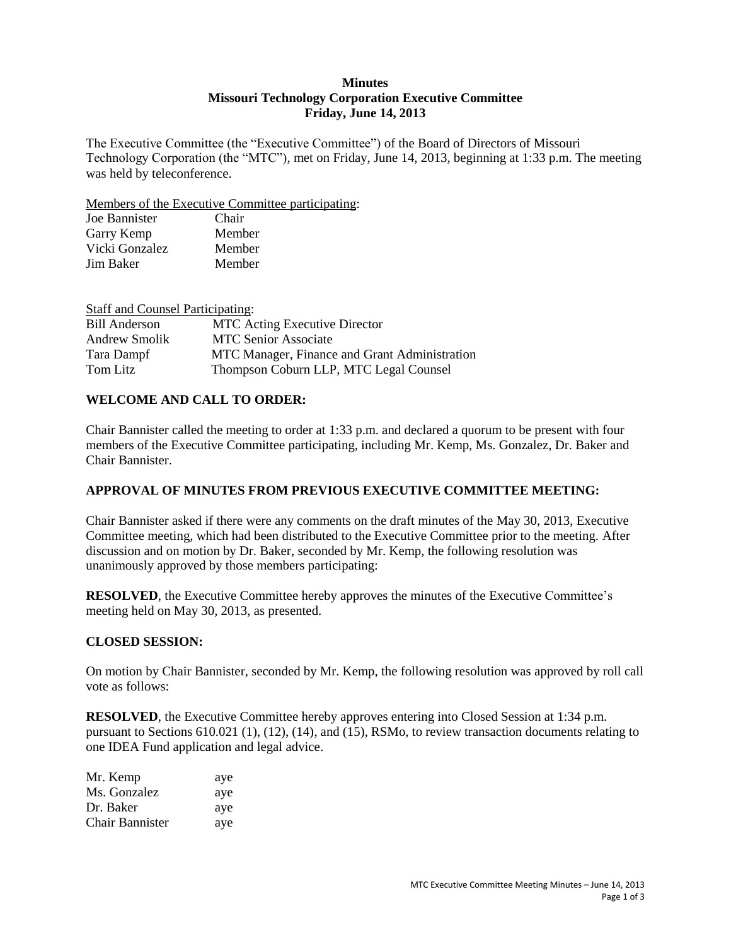## **Minutes Missouri Technology Corporation Executive Committee Friday, June 14, 2013**

The Executive Committee (the "Executive Committee") of the Board of Directors of Missouri Technology Corporation (the "MTC"), met on Friday, June 14, 2013, beginning at 1:33 p.m. The meeting was held by teleconference.

Members of the Executive Committee participating:

| Joe Bannister  | Chair  |
|----------------|--------|
| Garry Kemp     | Member |
| Vicki Gonzalez | Member |
| Jim Baker      | Member |

| <b>Staff and Counsel Participating:</b> |                                               |
|-----------------------------------------|-----------------------------------------------|
| <b>Bill Anderson</b>                    | <b>MTC</b> Acting Executive Director          |
| Andrew Smolik                           | <b>MTC Senior Associate</b>                   |
| Tara Dampf                              | MTC Manager, Finance and Grant Administration |
| Tom Litz                                | Thompson Coburn LLP, MTC Legal Counsel        |

# **WELCOME AND CALL TO ORDER:**

Chair Bannister called the meeting to order at 1:33 p.m. and declared a quorum to be present with four members of the Executive Committee participating, including Mr. Kemp, Ms. Gonzalez, Dr. Baker and Chair Bannister.

## **APPROVAL OF MINUTES FROM PREVIOUS EXECUTIVE COMMITTEE MEETING:**

Chair Bannister asked if there were any comments on the draft minutes of the May 30, 2013, Executive Committee meeting, which had been distributed to the Executive Committee prior to the meeting. After discussion and on motion by Dr. Baker, seconded by Mr. Kemp, the following resolution was unanimously approved by those members participating:

**RESOLVED**, the Executive Committee hereby approves the minutes of the Executive Committee's meeting held on May 30, 2013, as presented.

## **CLOSED SESSION:**

On motion by Chair Bannister, seconded by Mr. Kemp, the following resolution was approved by roll call vote as follows:

**RESOLVED**, the Executive Committee hereby approves entering into Closed Session at 1:34 p.m. pursuant to Sections 610.021 (1), (12), (14), and (15), RSMo, to review transaction documents relating to one IDEA Fund application and legal advice.

| Mr. Kemp               | aye |
|------------------------|-----|
| Ms. Gonzalez           | aye |
| Dr. Baker              | aye |
| <b>Chair Bannister</b> | aye |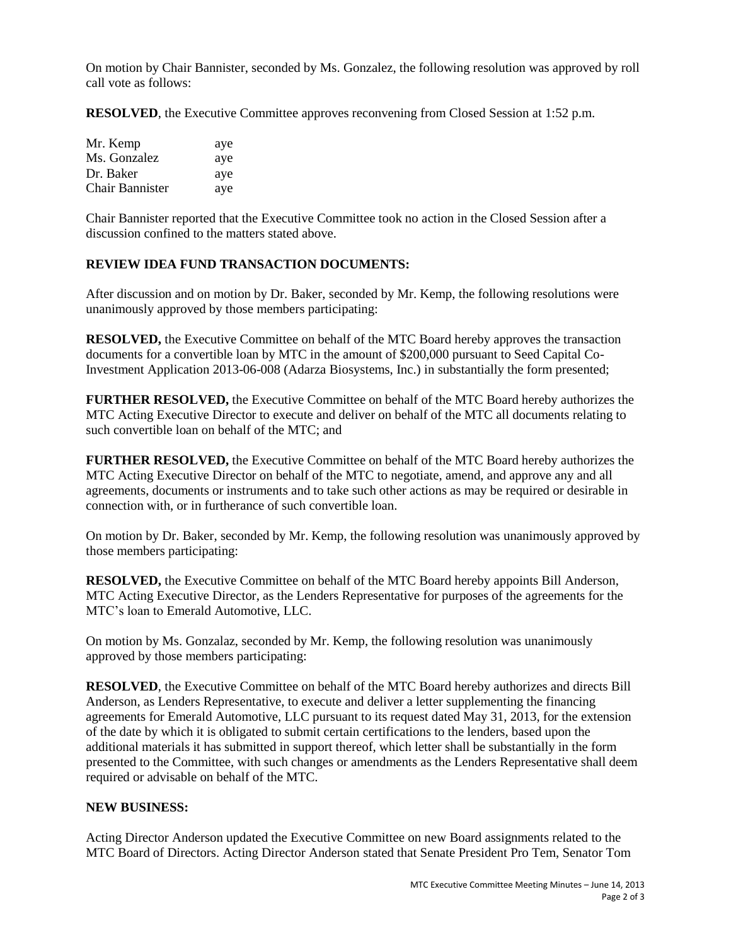On motion by Chair Bannister, seconded by Ms. Gonzalez, the following resolution was approved by roll call vote as follows:

**RESOLVED**, the Executive Committee approves reconvening from Closed Session at 1:52 p.m.

| Mr. Kemp        | aye |
|-----------------|-----|
| Ms. Gonzalez    | aye |
| Dr. Baker       | aye |
| Chair Bannister | aye |

Chair Bannister reported that the Executive Committee took no action in the Closed Session after a discussion confined to the matters stated above.

## **REVIEW IDEA FUND TRANSACTION DOCUMENTS:**

After discussion and on motion by Dr. Baker, seconded by Mr. Kemp, the following resolutions were unanimously approved by those members participating:

**RESOLVED,** the Executive Committee on behalf of the MTC Board hereby approves the transaction documents for a convertible loan by MTC in the amount of \$200,000 pursuant to Seed Capital Co-Investment Application 2013-06-008 (Adarza Biosystems, Inc.) in substantially the form presented;

**FURTHER RESOLVED,** the Executive Committee on behalf of the MTC Board hereby authorizes the MTC Acting Executive Director to execute and deliver on behalf of the MTC all documents relating to such convertible loan on behalf of the MTC; and

**FURTHER RESOLVED,** the Executive Committee on behalf of the MTC Board hereby authorizes the MTC Acting Executive Director on behalf of the MTC to negotiate, amend, and approve any and all agreements, documents or instruments and to take such other actions as may be required or desirable in connection with, or in furtherance of such convertible loan.

On motion by Dr. Baker, seconded by Mr. Kemp, the following resolution was unanimously approved by those members participating:

**RESOLVED,** the Executive Committee on behalf of the MTC Board hereby appoints Bill Anderson, MTC Acting Executive Director, as the Lenders Representative for purposes of the agreements for the MTC's loan to Emerald Automotive, LLC.

On motion by Ms. Gonzalaz, seconded by Mr. Kemp, the following resolution was unanimously approved by those members participating:

**RESOLVED**, the Executive Committee on behalf of the MTC Board hereby authorizes and directs Bill Anderson, as Lenders Representative, to execute and deliver a letter supplementing the financing agreements for Emerald Automotive, LLC pursuant to its request dated May 31, 2013, for the extension of the date by which it is obligated to submit certain certifications to the lenders, based upon the additional materials it has submitted in support thereof, which letter shall be substantially in the form presented to the Committee, with such changes or amendments as the Lenders Representative shall deem required or advisable on behalf of the MTC.

## **NEW BUSINESS:**

Acting Director Anderson updated the Executive Committee on new Board assignments related to the MTC Board of Directors. Acting Director Anderson stated that Senate President Pro Tem, Senator Tom